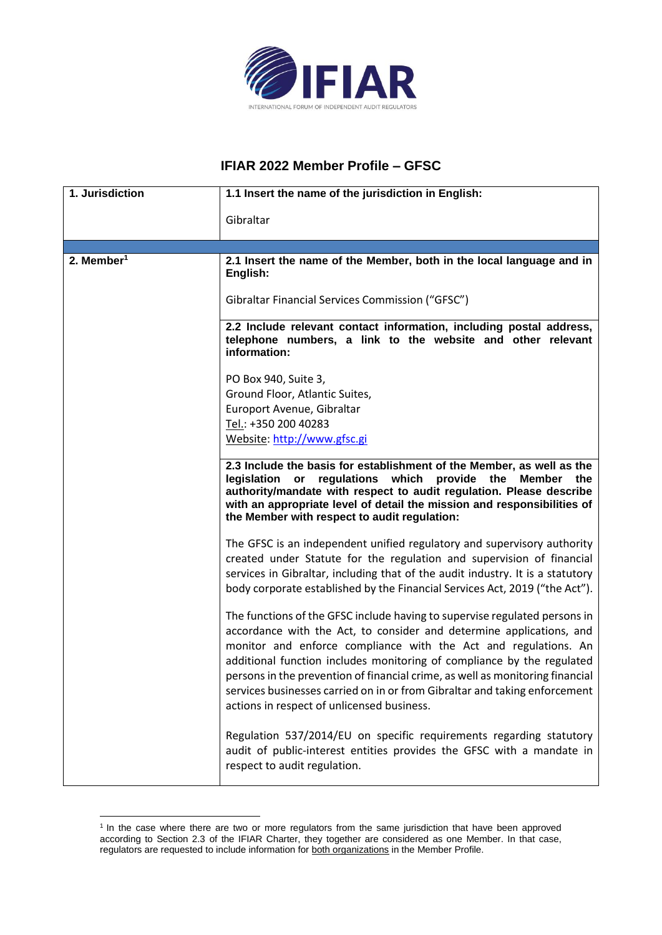

## **IFIAR 2022 Member Profile – GFSC**

| 1. Jurisdiction        | 1.1 Insert the name of the jurisdiction in English:                                                                                                                                                                                                                                                                                                                                                                                                                                                          |
|------------------------|--------------------------------------------------------------------------------------------------------------------------------------------------------------------------------------------------------------------------------------------------------------------------------------------------------------------------------------------------------------------------------------------------------------------------------------------------------------------------------------------------------------|
|                        | Gibraltar                                                                                                                                                                                                                                                                                                                                                                                                                                                                                                    |
|                        |                                                                                                                                                                                                                                                                                                                                                                                                                                                                                                              |
| 2. Member <sup>1</sup> | 2.1 Insert the name of the Member, both in the local language and in<br>English:                                                                                                                                                                                                                                                                                                                                                                                                                             |
|                        | Gibraltar Financial Services Commission ("GFSC")                                                                                                                                                                                                                                                                                                                                                                                                                                                             |
|                        | 2.2 Include relevant contact information, including postal address,<br>telephone numbers, a link to the website and other relevant<br>information:                                                                                                                                                                                                                                                                                                                                                           |
|                        | PO Box 940, Suite 3,                                                                                                                                                                                                                                                                                                                                                                                                                                                                                         |
|                        | Ground Floor, Atlantic Suites,                                                                                                                                                                                                                                                                                                                                                                                                                                                                               |
|                        | Europort Avenue, Gibraltar                                                                                                                                                                                                                                                                                                                                                                                                                                                                                   |
|                        | Tel.: +350 200 40283                                                                                                                                                                                                                                                                                                                                                                                                                                                                                         |
|                        | Website: http://www.gfsc.gi                                                                                                                                                                                                                                                                                                                                                                                                                                                                                  |
|                        | 2.3 Include the basis for establishment of the Member, as well as the<br>regulations which<br>provide the<br><b>Member</b><br>legislation<br>or<br>the<br>authority/mandate with respect to audit regulation. Please describe<br>with an appropriate level of detail the mission and responsibilities of<br>the Member with respect to audit regulation:                                                                                                                                                     |
|                        | The GFSC is an independent unified regulatory and supervisory authority<br>created under Statute for the regulation and supervision of financial<br>services in Gibraltar, including that of the audit industry. It is a statutory<br>body corporate established by the Financial Services Act, 2019 ("the Act").                                                                                                                                                                                            |
|                        | The functions of the GFSC include having to supervise regulated persons in<br>accordance with the Act, to consider and determine applications, and<br>monitor and enforce compliance with the Act and regulations. An<br>additional function includes monitoring of compliance by the regulated<br>persons in the prevention of financial crime, as well as monitoring financial<br>services businesses carried on in or from Gibraltar and taking enforcement<br>actions in respect of unlicensed business. |
|                        | Regulation 537/2014/EU on specific requirements regarding statutory<br>audit of public-interest entities provides the GFSC with a mandate in<br>respect to audit regulation.                                                                                                                                                                                                                                                                                                                                 |

<sup>&</sup>lt;sup>1</sup> In the case where there are two or more regulators from the same jurisdiction that have been approved according to Section 2.3 of the IFIAR Charter, they together are considered as one Member. In that case, regulators are requested to include information for both organizations in the Member Profile.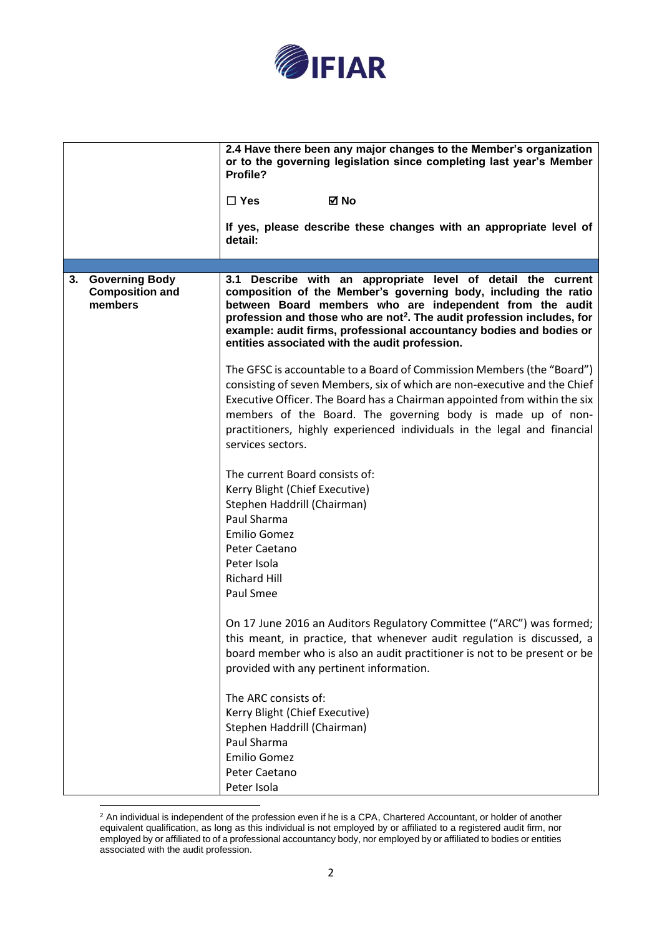

|    |                                                            | 2.4 Have there been any major changes to the Member's organization<br>or to the governing legislation since completing last year's Member<br>Profile?<br>⊠ No<br>$\Box$ Yes<br>If yes, please describe these changes with an appropriate level of<br>detail:                                                                                                                                               |
|----|------------------------------------------------------------|------------------------------------------------------------------------------------------------------------------------------------------------------------------------------------------------------------------------------------------------------------------------------------------------------------------------------------------------------------------------------------------------------------|
|    |                                                            |                                                                                                                                                                                                                                                                                                                                                                                                            |
| 3. | <b>Governing Body</b><br><b>Composition and</b><br>members | 3.1 Describe with an appropriate level of detail the current<br>composition of the Member's governing body, including the ratio<br>between Board members who are independent from the audit<br>profession and those who are not <sup>2</sup> . The audit profession includes, for<br>example: audit firms, professional accountancy bodies and bodies or<br>entities associated with the audit profession. |
|    |                                                            | The GFSC is accountable to a Board of Commission Members (the "Board")<br>consisting of seven Members, six of which are non-executive and the Chief<br>Executive Officer. The Board has a Chairman appointed from within the six<br>members of the Board. The governing body is made up of non-<br>practitioners, highly experienced individuals in the legal and financial<br>services sectors.           |
|    |                                                            | The current Board consists of:<br>Kerry Blight (Chief Executive)<br>Stephen Haddrill (Chairman)<br>Paul Sharma<br><b>Emilio Gomez</b><br>Peter Caetano<br>Peter Isola<br><b>Richard Hill</b><br>Paul Smee                                                                                                                                                                                                  |
|    |                                                            | On 17 June 2016 an Auditors Regulatory Committee ("ARC") was formed;<br>this meant, in practice, that whenever audit regulation is discussed, a<br>board member who is also an audit practitioner is not to be present or be<br>provided with any pertinent information.                                                                                                                                   |
|    |                                                            | The ARC consists of:<br>Kerry Blight (Chief Executive)<br>Stephen Haddrill (Chairman)<br>Paul Sharma<br><b>Emilio Gomez</b><br>Peter Caetano<br>Peter Isola                                                                                                                                                                                                                                                |

 $2$  An individual is independent of the profession even if he is a CPA, Chartered Accountant, or holder of another equivalent qualification, as long as this individual is not employed by or affiliated to a registered audit firm, nor employed by or affiliated to of a professional accountancy body, nor employed by or affiliated to bodies or entities associated with the audit profession.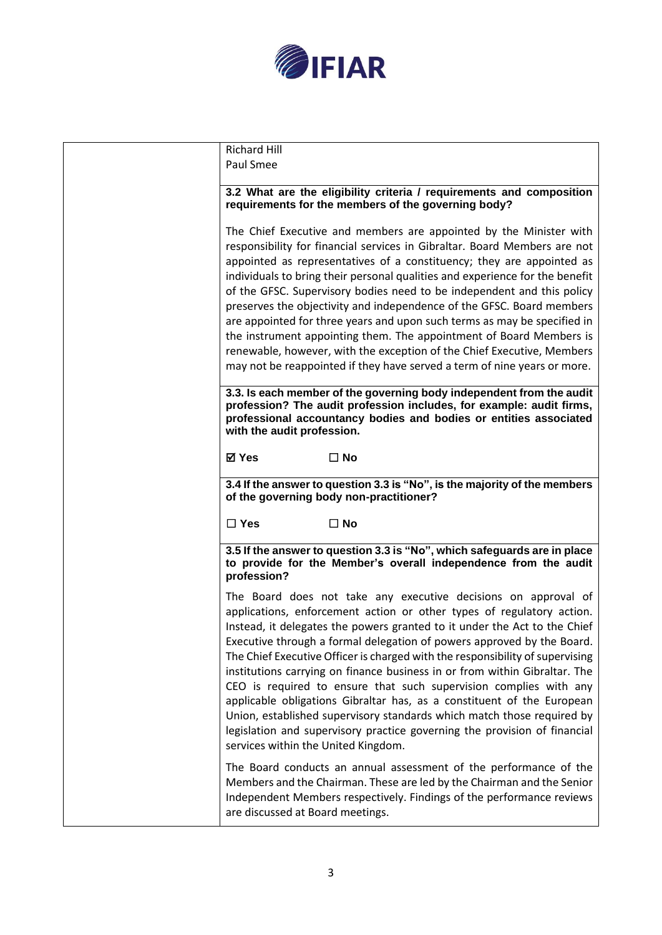

| <b>Richard Hill</b><br>Paul Smee                                                                                                                                                                                                                                                                                                                                                                                                                                                                                                                                                                                                                                                                                                                                                                           |
|------------------------------------------------------------------------------------------------------------------------------------------------------------------------------------------------------------------------------------------------------------------------------------------------------------------------------------------------------------------------------------------------------------------------------------------------------------------------------------------------------------------------------------------------------------------------------------------------------------------------------------------------------------------------------------------------------------------------------------------------------------------------------------------------------------|
| 3.2 What are the eligibility criteria / requirements and composition<br>requirements for the members of the governing body?                                                                                                                                                                                                                                                                                                                                                                                                                                                                                                                                                                                                                                                                                |
| The Chief Executive and members are appointed by the Minister with<br>responsibility for financial services in Gibraltar. Board Members are not<br>appointed as representatives of a constituency; they are appointed as<br>individuals to bring their personal qualities and experience for the benefit<br>of the GFSC. Supervisory bodies need to be independent and this policy                                                                                                                                                                                                                                                                                                                                                                                                                         |
| preserves the objectivity and independence of the GFSC. Board members<br>are appointed for three years and upon such terms as may be specified in<br>the instrument appointing them. The appointment of Board Members is<br>renewable, however, with the exception of the Chief Executive, Members<br>may not be reappointed if they have served a term of nine years or more.                                                                                                                                                                                                                                                                                                                                                                                                                             |
| 3.3. Is each member of the governing body independent from the audit<br>profession? The audit profession includes, for example: audit firms,<br>professional accountancy bodies and bodies or entities associated<br>with the audit profession.                                                                                                                                                                                                                                                                                                                                                                                                                                                                                                                                                            |
| <b>⊠</b> Yes<br>$\square$ No                                                                                                                                                                                                                                                                                                                                                                                                                                                                                                                                                                                                                                                                                                                                                                               |
| 3.4 If the answer to question 3.3 is "No", is the majority of the members<br>of the governing body non-practitioner?                                                                                                                                                                                                                                                                                                                                                                                                                                                                                                                                                                                                                                                                                       |
| $\Box$ Yes<br>$\square$ No                                                                                                                                                                                                                                                                                                                                                                                                                                                                                                                                                                                                                                                                                                                                                                                 |
| 3.5 If the answer to question 3.3 is "No", which safeguards are in place<br>to provide for the Member's overall independence from the audit<br>profession?                                                                                                                                                                                                                                                                                                                                                                                                                                                                                                                                                                                                                                                 |
| The Board does not take any executive decisions on approval of<br>applications, enforcement action or other types of regulatory action.<br>Instead, it delegates the powers granted to it under the Act to the Chief<br>Executive through a formal delegation of powers approved by the Board.<br>The Chief Executive Officer is charged with the responsibility of supervising<br>institutions carrying on finance business in or from within Gibraltar. The<br>CEO is required to ensure that such supervision complies with any<br>applicable obligations Gibraltar has, as a constituent of the European<br>Union, established supervisory standards which match those required by<br>legislation and supervisory practice governing the provision of financial<br>services within the United Kingdom. |
| The Board conducts an annual assessment of the performance of the<br>Members and the Chairman. These are led by the Chairman and the Senior<br>Independent Members respectively. Findings of the performance reviews<br>are discussed at Board meetings.                                                                                                                                                                                                                                                                                                                                                                                                                                                                                                                                                   |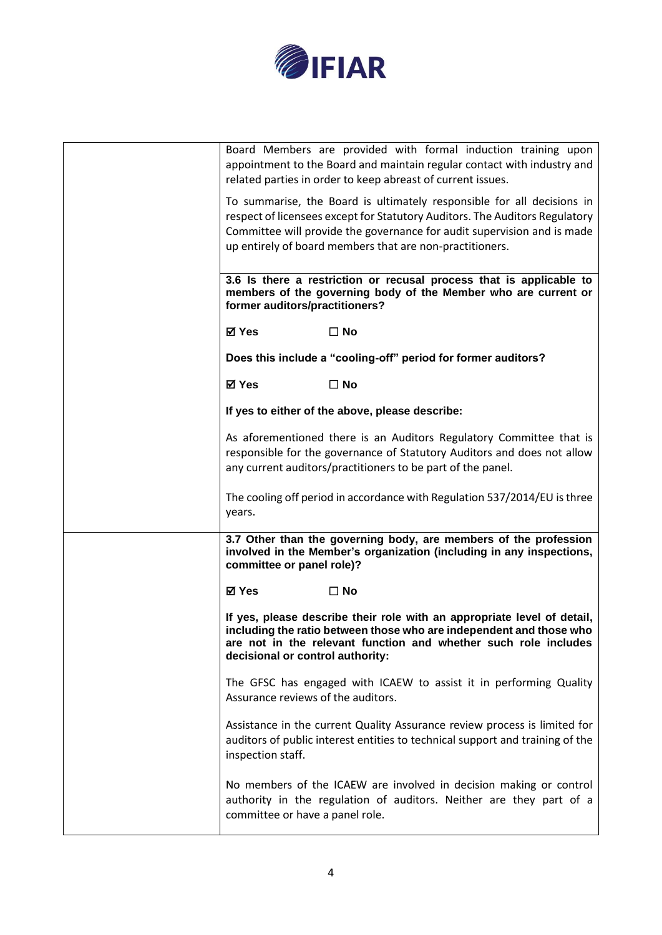

| Board Members are provided with formal induction training upon<br>appointment to the Board and maintain regular contact with industry and<br>related parties in order to keep abreast of current issues.                                                                                     |
|----------------------------------------------------------------------------------------------------------------------------------------------------------------------------------------------------------------------------------------------------------------------------------------------|
| To summarise, the Board is ultimately responsible for all decisions in<br>respect of licensees except for Statutory Auditors. The Auditors Regulatory<br>Committee will provide the governance for audit supervision and is made<br>up entirely of board members that are non-practitioners. |
| 3.6 Is there a restriction or recusal process that is applicable to<br>members of the governing body of the Member who are current or<br>former auditors/practitioners?                                                                                                                      |
| ⊠ Yes<br>$\Box$ No                                                                                                                                                                                                                                                                           |
| Does this include a "cooling-off" period for former auditors?                                                                                                                                                                                                                                |
| <b>⊠</b> Yes<br>$\square$ No                                                                                                                                                                                                                                                                 |
| If yes to either of the above, please describe:                                                                                                                                                                                                                                              |
| As aforementioned there is an Auditors Regulatory Committee that is<br>responsible for the governance of Statutory Auditors and does not allow<br>any current auditors/practitioners to be part of the panel.                                                                                |
| The cooling off period in accordance with Regulation 537/2014/EU is three<br>years.                                                                                                                                                                                                          |
| 3.7 Other than the governing body, are members of the profession<br>involved in the Member's organization (including in any inspections,<br>committee or panel role)?                                                                                                                        |
| <b>⊠</b> Yes<br>$\square$ No                                                                                                                                                                                                                                                                 |
| If yes, please describe their role with an appropriate level of detail,<br>including the ratio between those who are independent and those who<br>are not in the relevant function and whether such role includes<br>decisional or control authority:                                        |
| The GFSC has engaged with ICAEW to assist it in performing Quality<br>Assurance reviews of the auditors.                                                                                                                                                                                     |
| Assistance in the current Quality Assurance review process is limited for<br>auditors of public interest entities to technical support and training of the<br>inspection staff.                                                                                                              |
| No members of the ICAEW are involved in decision making or control<br>authority in the regulation of auditors. Neither are they part of a<br>committee or have a panel role.                                                                                                                 |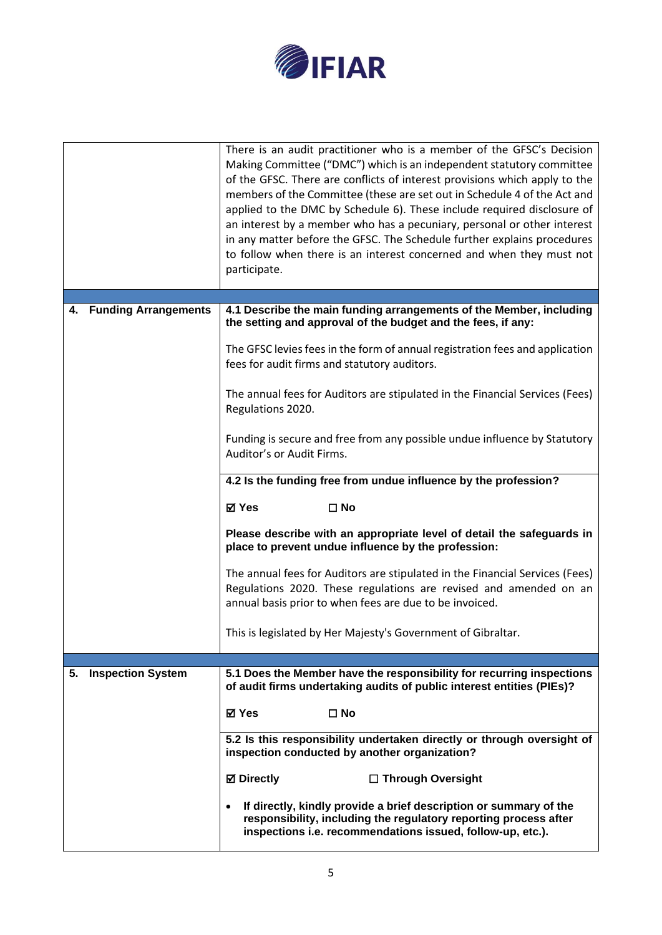

|                         | There is an audit practitioner who is a member of the GFSC's Decision<br>Making Committee ("DMC") which is an independent statutory committee<br>of the GFSC. There are conflicts of interest provisions which apply to the<br>members of the Committee (these are set out in Schedule 4 of the Act and<br>applied to the DMC by Schedule 6). These include required disclosure of<br>an interest by a member who has a pecuniary, personal or other interest<br>in any matter before the GFSC. The Schedule further explains procedures<br>to follow when there is an interest concerned and when they must not<br>participate. |  |
|-------------------------|----------------------------------------------------------------------------------------------------------------------------------------------------------------------------------------------------------------------------------------------------------------------------------------------------------------------------------------------------------------------------------------------------------------------------------------------------------------------------------------------------------------------------------------------------------------------------------------------------------------------------------|--|
| 4. Funding Arrangements | 4.1 Describe the main funding arrangements of the Member, including                                                                                                                                                                                                                                                                                                                                                                                                                                                                                                                                                              |  |
|                         | the setting and approval of the budget and the fees, if any:                                                                                                                                                                                                                                                                                                                                                                                                                                                                                                                                                                     |  |
|                         | The GFSC levies fees in the form of annual registration fees and application<br>fees for audit firms and statutory auditors.                                                                                                                                                                                                                                                                                                                                                                                                                                                                                                     |  |
|                         | The annual fees for Auditors are stipulated in the Financial Services (Fees)<br>Regulations 2020.                                                                                                                                                                                                                                                                                                                                                                                                                                                                                                                                |  |
|                         | Funding is secure and free from any possible undue influence by Statutory<br>Auditor's or Audit Firms.                                                                                                                                                                                                                                                                                                                                                                                                                                                                                                                           |  |
|                         | 4.2 Is the funding free from undue influence by the profession?                                                                                                                                                                                                                                                                                                                                                                                                                                                                                                                                                                  |  |
|                         | <b>⊠</b> Yes<br>$\square$ No                                                                                                                                                                                                                                                                                                                                                                                                                                                                                                                                                                                                     |  |
|                         | Please describe with an appropriate level of detail the safeguards in<br>place to prevent undue influence by the profession:                                                                                                                                                                                                                                                                                                                                                                                                                                                                                                     |  |
|                         | The annual fees for Auditors are stipulated in the Financial Services (Fees)<br>Regulations 2020. These regulations are revised and amended on an<br>annual basis prior to when fees are due to be invoiced.                                                                                                                                                                                                                                                                                                                                                                                                                     |  |
|                         | This is legislated by Her Majesty's Government of Gibraltar.                                                                                                                                                                                                                                                                                                                                                                                                                                                                                                                                                                     |  |
|                         |                                                                                                                                                                                                                                                                                                                                                                                                                                                                                                                                                                                                                                  |  |
| 5. Inspection System    | 5.1 Does the Member have the responsibility for recurring inspections<br>of audit firms undertaking audits of public interest entities (PIEs)?                                                                                                                                                                                                                                                                                                                                                                                                                                                                                   |  |
|                         | ⊠ Yes<br>$\square$ No                                                                                                                                                                                                                                                                                                                                                                                                                                                                                                                                                                                                            |  |
|                         | 5.2 Is this responsibility undertaken directly or through oversight of<br>inspection conducted by another organization?                                                                                                                                                                                                                                                                                                                                                                                                                                                                                                          |  |
|                         | <b>Ø</b> Directly<br>□ Through Oversight                                                                                                                                                                                                                                                                                                                                                                                                                                                                                                                                                                                         |  |
|                         | If directly, kindly provide a brief description or summary of the<br>responsibility, including the regulatory reporting process after<br>inspections i.e. recommendations issued, follow-up, etc.).                                                                                                                                                                                                                                                                                                                                                                                                                              |  |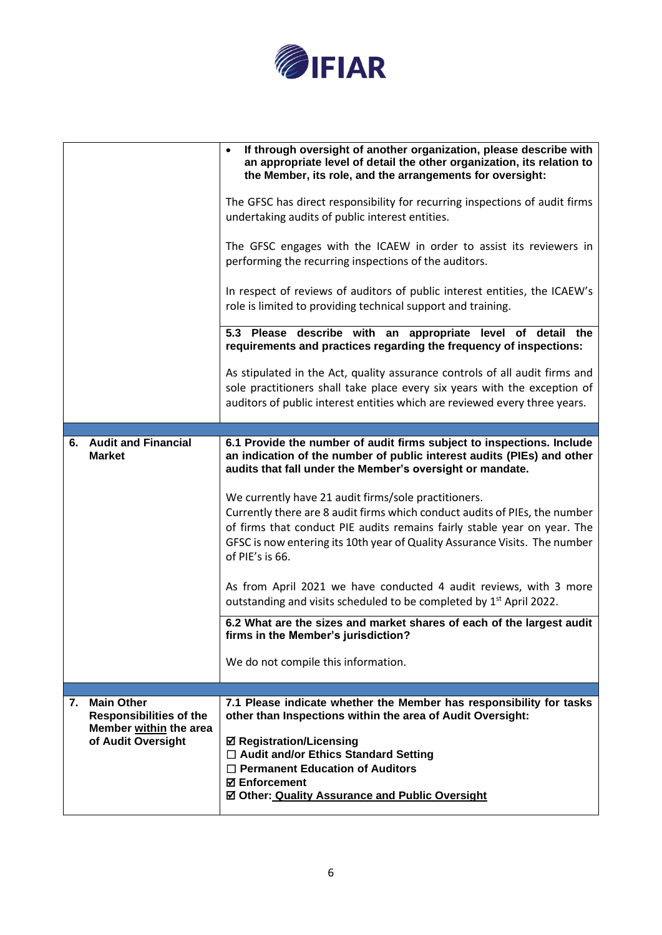

|    |                                                     | If through oversight of another organization, please describe with<br>$\bullet$<br>an appropriate level of detail the other organization, its relation to<br>the Member, its role, and the arrangements for oversight:                                                                                          |
|----|-----------------------------------------------------|-----------------------------------------------------------------------------------------------------------------------------------------------------------------------------------------------------------------------------------------------------------------------------------------------------------------|
|    |                                                     | The GFSC has direct responsibility for recurring inspections of audit firms<br>undertaking audits of public interest entities.                                                                                                                                                                                  |
|    |                                                     | The GFSC engages with the ICAEW in order to assist its reviewers in<br>performing the recurring inspections of the auditors.                                                                                                                                                                                    |
|    |                                                     | In respect of reviews of auditors of public interest entities, the ICAEW's<br>role is limited to providing technical support and training.                                                                                                                                                                      |
|    |                                                     | 5.3 Please describe with an appropriate level of detail the<br>requirements and practices regarding the frequency of inspections:                                                                                                                                                                               |
|    |                                                     | As stipulated in the Act, quality assurance controls of all audit firms and                                                                                                                                                                                                                                     |
|    |                                                     | sole practitioners shall take place every six years with the exception of                                                                                                                                                                                                                                       |
|    |                                                     | auditors of public interest entities which are reviewed every three years.                                                                                                                                                                                                                                      |
|    |                                                     |                                                                                                                                                                                                                                                                                                                 |
|    |                                                     |                                                                                                                                                                                                                                                                                                                 |
|    | 6. Audit and Financial<br><b>Market</b>             | 6.1 Provide the number of audit firms subject to inspections. Include<br>an indication of the number of public interest audits (PIEs) and other<br>audits that fall under the Member's oversight or mandate.                                                                                                    |
|    |                                                     | We currently have 21 audit firms/sole practitioners.<br>Currently there are 8 audit firms which conduct audits of PIEs, the number<br>of firms that conduct PIE audits remains fairly stable year on year. The<br>GFSC is now entering its 10th year of Quality Assurance Visits. The number<br>of PIE's is 66. |
|    |                                                     | As from April 2021 we have conducted 4 audit reviews, with 3 more<br>outstanding and visits scheduled to be completed by 1 <sup>st</sup> April 2022.                                                                                                                                                            |
|    |                                                     | 6.2 What are the sizes and market shares of each of the largest audit<br>firms in the Member's jurisdiction?                                                                                                                                                                                                    |
|    |                                                     | We do not compile this information.                                                                                                                                                                                                                                                                             |
|    |                                                     |                                                                                                                                                                                                                                                                                                                 |
| 7. | <b>Main Other</b><br><b>Responsibilities of the</b> | 7.1 Please indicate whether the Member has responsibility for tasks<br>other than Inspections within the area of Audit Oversight:                                                                                                                                                                               |
|    | Member within the area<br>of Audit Oversight        |                                                                                                                                                                                                                                                                                                                 |
|    |                                                     | <b>Ø Registration/Licensing</b>                                                                                                                                                                                                                                                                                 |
|    |                                                     | □ Audit and/or Ethics Standard Setting                                                                                                                                                                                                                                                                          |
|    |                                                     | $\Box$ Permanent Education of Auditors                                                                                                                                                                                                                                                                          |
|    |                                                     | <b>⊠</b> Enforcement                                                                                                                                                                                                                                                                                            |
|    |                                                     | ☑ Other: Quality Assurance and Public Oversight                                                                                                                                                                                                                                                                 |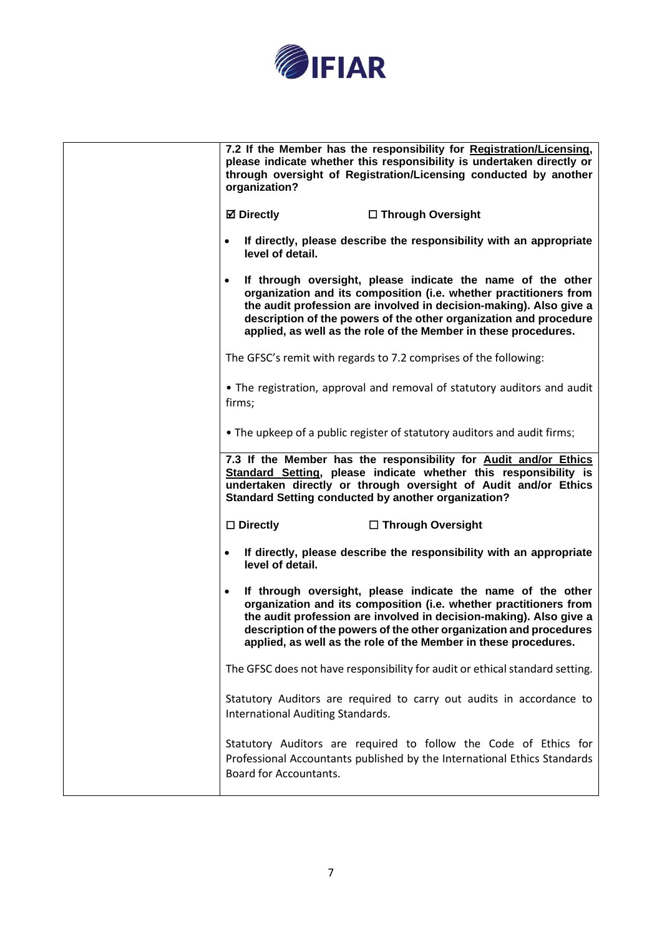

| 7.2 If the Member has the responsibility for Registration/Licensing,<br>please indicate whether this responsibility is undertaken directly or<br>through oversight of Registration/Licensing conducted by another<br>organization?                                                                                                                           |
|--------------------------------------------------------------------------------------------------------------------------------------------------------------------------------------------------------------------------------------------------------------------------------------------------------------------------------------------------------------|
| <b>Ø</b> Directly<br>□ Through Oversight                                                                                                                                                                                                                                                                                                                     |
| If directly, please describe the responsibility with an appropriate<br>$\bullet$<br>level of detail.                                                                                                                                                                                                                                                         |
| If through oversight, please indicate the name of the other<br>$\bullet$<br>organization and its composition (i.e. whether practitioners from<br>the audit profession are involved in decision-making). Also give a<br>description of the powers of the other organization and procedure<br>applied, as well as the role of the Member in these procedures.  |
| The GFSC's remit with regards to 7.2 comprises of the following:                                                                                                                                                                                                                                                                                             |
| • The registration, approval and removal of statutory auditors and audit<br>firms;                                                                                                                                                                                                                                                                           |
| • The upkeep of a public register of statutory auditors and audit firms;                                                                                                                                                                                                                                                                                     |
| 7.3 If the Member has the responsibility for Audit and/or Ethics<br>Standard Setting, please indicate whether this responsibility is<br>undertaken directly or through oversight of Audit and/or Ethics<br><b>Standard Setting conducted by another organization?</b>                                                                                        |
| $\square$ Directly<br>□ Through Oversight                                                                                                                                                                                                                                                                                                                    |
| If directly, please describe the responsibility with an appropriate<br>$\bullet$<br>level of detail.                                                                                                                                                                                                                                                         |
| If through oversight, please indicate the name of the other<br>$\bullet$<br>organization and its composition (i.e. whether practitioners from<br>the audit profession are involved in decision-making). Also give a<br>description of the powers of the other organization and procedures<br>applied, as well as the role of the Member in these procedures. |
| The GFSC does not have responsibility for audit or ethical standard setting.                                                                                                                                                                                                                                                                                 |
| Statutory Auditors are required to carry out audits in accordance to<br>International Auditing Standards.                                                                                                                                                                                                                                                    |
| Statutory Auditors are required to follow the Code of Ethics for<br>Professional Accountants published by the International Ethics Standards<br>Board for Accountants.                                                                                                                                                                                       |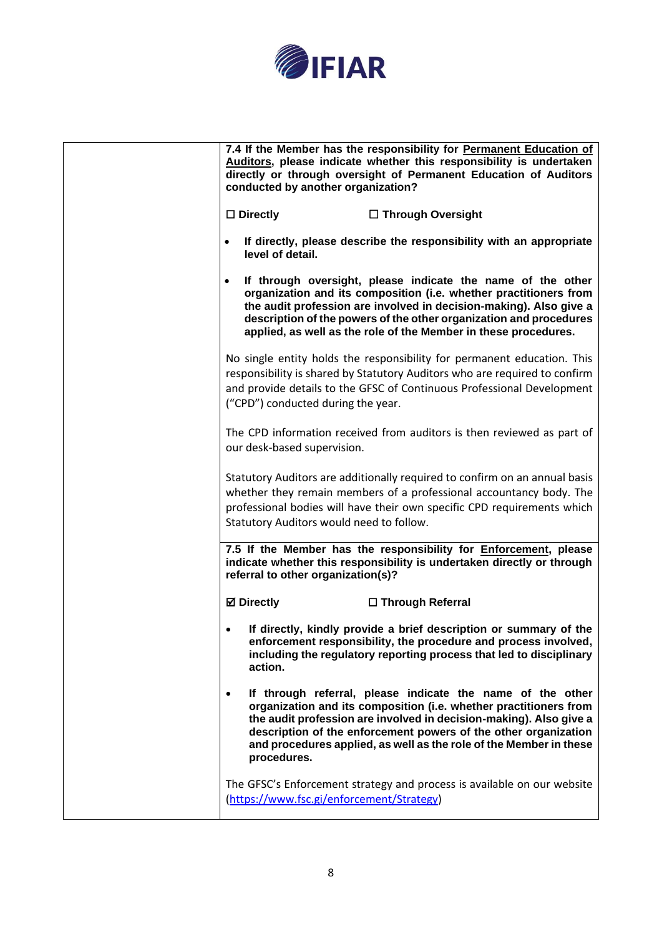

| conducted by another organization?        | 7.4 If the Member has the responsibility for Permanent Education of<br>Auditors, please indicate whether this responsibility is undertaken<br>directly or through oversight of Permanent Education of Auditors                                                                                                                                  |
|-------------------------------------------|-------------------------------------------------------------------------------------------------------------------------------------------------------------------------------------------------------------------------------------------------------------------------------------------------------------------------------------------------|
| $\square$ Directly                        | □ Through Oversight                                                                                                                                                                                                                                                                                                                             |
| $\bullet$<br>level of detail.             | If directly, please describe the responsibility with an appropriate                                                                                                                                                                                                                                                                             |
|                                           | If through oversight, please indicate the name of the other<br>organization and its composition (i.e. whether practitioners from<br>the audit profession are involved in decision-making). Also give a<br>description of the powers of the other organization and procedures<br>applied, as well as the role of the Member in these procedures. |
| ("CPD") conducted during the year.        | No single entity holds the responsibility for permanent education. This<br>responsibility is shared by Statutory Auditors who are required to confirm<br>and provide details to the GFSC of Continuous Professional Development                                                                                                                 |
| our desk-based supervision.               | The CPD information received from auditors is then reviewed as part of                                                                                                                                                                                                                                                                          |
| Statutory Auditors would need to follow.  | Statutory Auditors are additionally required to confirm on an annual basis<br>whether they remain members of a professional accountancy body. The<br>professional bodies will have their own specific CPD requirements which                                                                                                                    |
| referral to other organization(s)?        | 7.5 If the Member has the responsibility for Enforcement, please<br>indicate whether this responsibility is undertaken directly or through                                                                                                                                                                                                      |
| <b>Ø</b> Directly                         | □ Through Referral                                                                                                                                                                                                                                                                                                                              |
| ٠<br>action.                              | If directly, kindly provide a brief description or summary of the<br>enforcement responsibility, the procedure and process involved,<br>including the regulatory reporting process that led to disciplinary                                                                                                                                     |
| $\bullet$<br>procedures.                  | If through referral, please indicate the name of the other<br>organization and its composition (i.e. whether practitioners from<br>the audit profession are involved in decision-making). Also give a<br>description of the enforcement powers of the other organization<br>and procedures applied, as well as the role of the Member in these  |
| (https://www.fsc.gi/enforcement/Strategy) | The GFSC's Enforcement strategy and process is available on our website                                                                                                                                                                                                                                                                         |